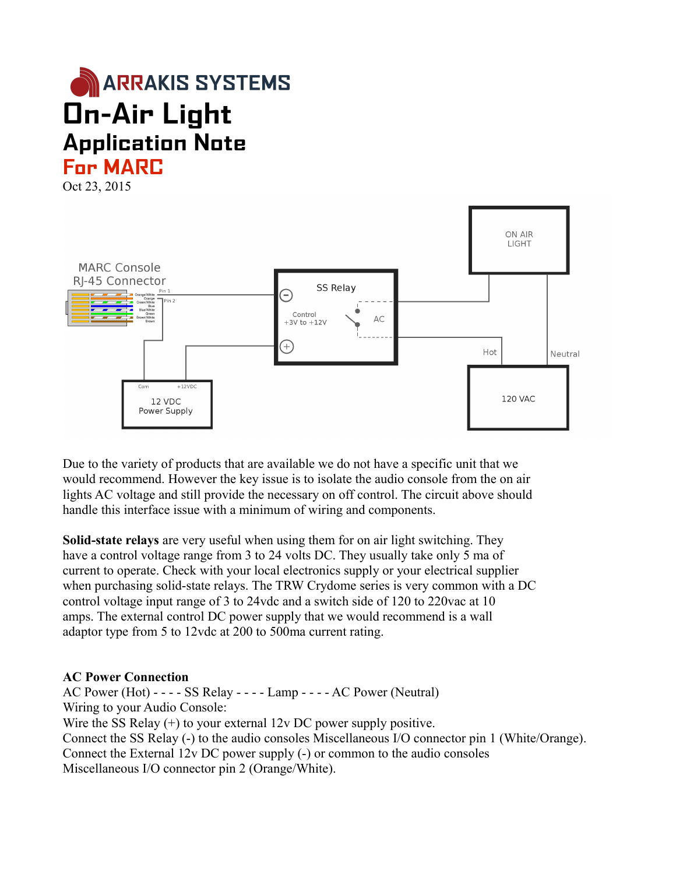



Due to the variety of products that are available we do not have a specific unit that we would recommend. However the key issue is to isolate the audio console from the on air lights AC voltage and still provide the necessary on off control. The circuit above should handle this interface issue with a minimum of wiring and components.

**Solid-state relays** are very useful when using them for on air light switching. They have a control voltage range from 3 to 24 volts DC. They usually take only 5 ma of current to operate. Check with your local electronics supply or your electrical supplier when purchasing solid-state relays. The TRW Crydome series is very common with a DC control voltage input range of 3 to 24vdc and a switch side of 120 to 220vac at 10 amps. The external control DC power supply that we would recommend is a wall adaptor type from 5 to 12vdc at 200 to 500ma current rating.

## **AC Power Connection**

AC Power (Hot) - - - - SS Relay - - - - Lamp - - - - AC Power (Neutral) Wiring to your Audio Console: Wire the SS Relay  $(+)$  to your external 12v DC power supply positive. Connect the SS Relay (-) to the audio consoles Miscellaneous I/O connector pin 1 (White/Orange). Connect the External 12v DC power supply (-) or common to the audio consoles Miscellaneous I/O connector pin 2 (Orange/White).